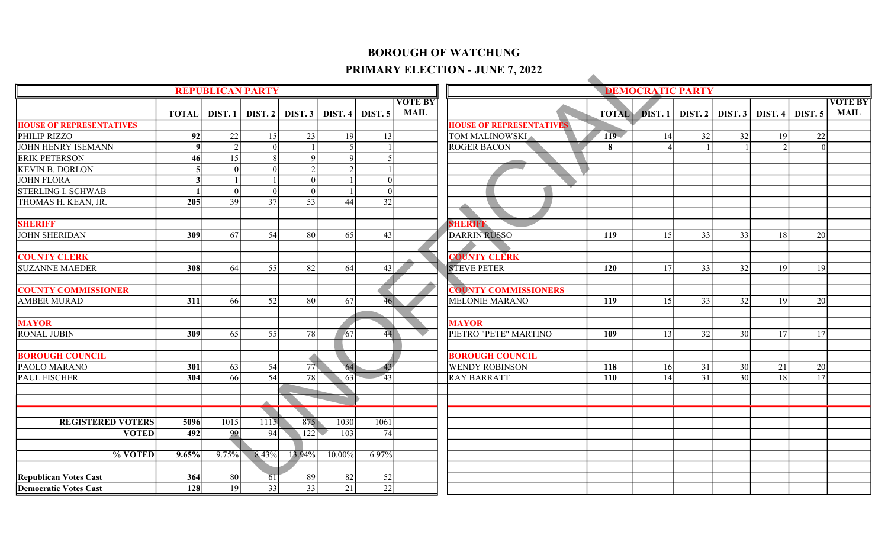## BOROUGH OF WATCHUNG

## PRIMARY ELECTION - JUNE 7, 2022

|                                 |                  |                 |                         |         |                          |                 |                               | <b>BOROUGH OF WATCHUNG</b>             |     |                         |                 |                 |         |                 |                               |
|---------------------------------|------------------|-----------------|-------------------------|---------|--------------------------|-----------------|-------------------------------|----------------------------------------|-----|-------------------------|-----------------|-----------------|---------|-----------------|-------------------------------|
|                                 |                  |                 |                         |         |                          |                 |                               | <b>PRIMARY ELECTION - JUNE 7, 2022</b> |     |                         |                 |                 |         |                 |                               |
|                                 |                  |                 | <b>REPUBLICAN PARTY</b> |         |                          |                 |                               |                                        |     | <b>DEMOCRATIC PARTY</b> |                 |                 |         |                 |                               |
|                                 | <b>TOTAL</b>     | DIST. 1         | DIST.2                  | DIST. 3 | DIST. 4                  | DIST. 5         | <b>VOTE BY</b><br><b>MAIL</b> |                                        |     | <b>TOTAL DIST. 1</b>    | DIST.2          | DIST. 3         | DIST. 4 | DIST. 5         | <b>VOTE BY</b><br><b>MAIL</b> |
| <b>HOUSE OF REPRESENTATIVES</b> |                  |                 |                         |         |                          |                 |                               | <b>HOUSE OF REPRESENTATIVES</b>        |     |                         |                 |                 |         |                 |                               |
| PHILIP RIZZO                    | 92               | 22              | 15                      | 23      | 19                       | 13              |                               | TOM MALINOWSKI                         | 119 | 14                      | 32              | 32              | 19      | 22              |                               |
| <b>JOHN HENRY ISEMANN</b>       | $\mathbf o$      | $\mathcal{D}$   | $\vert 0 \vert$         |         | $\overline{\phantom{0}}$ |                 |                               | <b>ROGER BACON</b>                     | 8   |                         |                 |                 |         | $\Omega$        |                               |
| <b>ERIK PETERSON</b>            | 46               | 15              | 8                       |         | Q                        | 5               |                               |                                        |     |                         |                 |                 |         |                 |                               |
| <b>KEVIN B. DORLON</b>          |                  |                 | 0                       |         | $\mathcal{D}$            |                 |                               |                                        |     |                         |                 |                 |         |                 |                               |
| <b>JOHN FLORA</b>               |                  |                 |                         |         |                          | $\vert$ 0       |                               |                                        |     |                         |                 |                 |         |                 |                               |
| <b>STERLING I. SCHWAB</b>       |                  |                 | $\Omega$                |         |                          | $\theta$        |                               |                                        |     |                         |                 |                 |         |                 |                               |
| THOMAS H. KEAN, JR.             | 205              | 39              | 37                      | 53      | 44                       | $\overline{32}$ |                               |                                        |     |                         |                 |                 |         |                 |                               |
| <b>SHERIFF</b>                  |                  |                 |                         |         |                          |                 |                               | <b>SHERIFF</b>                         |     |                         |                 |                 |         |                 |                               |
| <b>JOHN SHERIDAN</b>            | 309              | 67              | 54                      | 80      | 65                       | 43              |                               | <b>DARRIN RUSSO</b>                    | 119 | 15                      | 33              | 33              | 18      | 20              |                               |
|                                 |                  |                 |                         |         |                          |                 |                               |                                        |     |                         |                 |                 |         |                 |                               |
| <b>COUNTY CLERK</b>             |                  |                 |                         |         |                          |                 |                               | <b>COUNTY CLERK</b>                    |     |                         |                 |                 |         |                 |                               |
| <b>SUZANNE MAEDER</b>           | 308              | 64              | $\overline{55}$         | 82      | 64                       | 43.             |                               | <b>STEVE PETER</b>                     | 120 | 17                      | 33              | $\overline{32}$ | 19      | 19              |                               |
| <b>COUNTY COMMISSIONER</b>      |                  |                 |                         |         |                          |                 |                               | <b>COUNTY COMMISSIONERS</b>            |     |                         |                 |                 |         |                 |                               |
| <b>AMBER MURAD</b>              | 311              | 66              | 52                      | 80      | 67                       | 46              |                               | <b>MELONIE MARANO</b>                  | 119 | 15                      | 33              | 32              | 19      | 20              |                               |
|                                 |                  |                 |                         |         |                          |                 |                               |                                        |     |                         |                 |                 |         |                 |                               |
| <b>MAYOR</b>                    |                  |                 |                         |         |                          |                 |                               | <b>MAYOR</b>                           |     |                         |                 |                 |         |                 |                               |
| <b>RONAL JUBIN</b>              | 309              | 65              | 55                      | 78      | $\sqrt{67}$              | 44              |                               | PIETRO "PETE" MARTINO                  | 109 | 13                      | 32              | 30              | 17      | 17              |                               |
| <b>BOROUGH COUNCIL</b>          |                  |                 |                         |         |                          |                 |                               | <b>BOROUGH COUNCIL</b>                 |     |                         |                 |                 |         |                 |                               |
| PAOLO MARANO                    | 301              | 63              | 54                      | 77      | 64                       | 43              |                               | <b>WENDY ROBINSON</b>                  | 118 | 16                      | 31              | 30              | 21      | 20              |                               |
| <b>PAUL FISCHER</b>             | $\frac{1}{304}$  | $\overline{66}$ | $\overline{54}$         | 78      | 63                       | $\overline{43}$ |                               | <b>RAY BARRATT</b>                     | 110 | 14                      | $\overline{31}$ | $\overline{30}$ | 18      | $\overline{17}$ |                               |
|                                 |                  |                 |                         |         |                          |                 |                               |                                        |     |                         |                 |                 |         |                 |                               |
|                                 |                  |                 |                         |         |                          |                 |                               |                                        |     |                         |                 |                 |         |                 |                               |
|                                 |                  |                 |                         |         |                          |                 |                               |                                        |     |                         |                 |                 |         |                 |                               |
| <b>REGISTERED VOTERS</b>        | 5096             | 1015            | 1115                    | 875     | 1030                     | 1061            |                               |                                        |     |                         |                 |                 |         |                 |                               |
| <b>VOTED</b>                    | 492              | 99              | 94                      | 122     | 103                      | 74              |                               |                                        |     |                         |                 |                 |         |                 |                               |
|                                 |                  |                 |                         |         |                          |                 |                               |                                        |     |                         |                 |                 |         |                 |                               |
| % VOTED                         | 9.65%            | 9.75%           | 8.43%                   | 13.94%  | 10.00%                   | 6.97%           |                               |                                        |     |                         |                 |                 |         |                 |                               |
|                                 |                  |                 |                         |         |                          |                 |                               |                                        |     |                         |                 |                 |         |                 |                               |
| <b>Republican Votes Cast</b>    | 364              | 80              | 61                      | 89      | 82                       | 52              |                               |                                        |     |                         |                 |                 |         |                 |                               |
| <b>Democratic Votes Cast</b>    | $\overline{128}$ | 19              | $\overline{33}$         | 33      | 21                       | 22              |                               |                                        |     |                         |                 |                 |         |                 |                               |